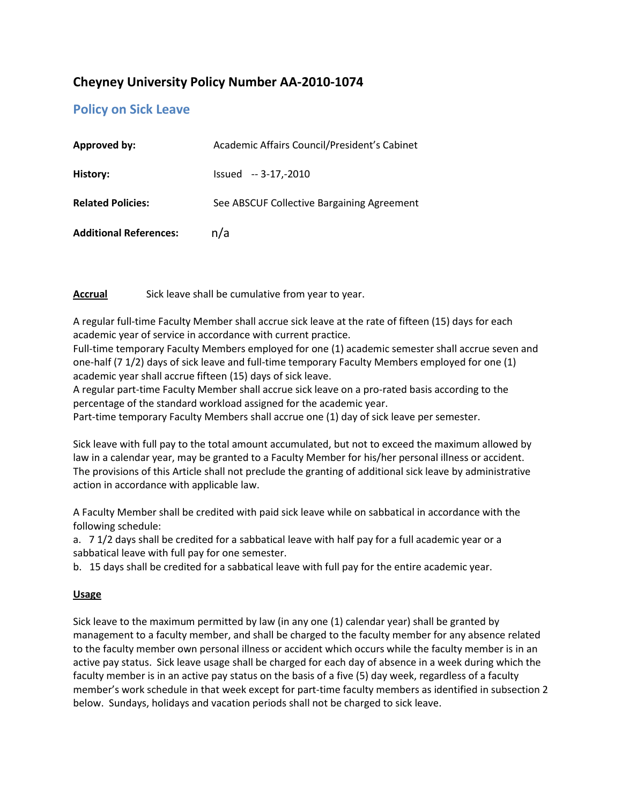# **Cheyney University Policy Number AA-2010-1074**

## **Policy on Sick Leave**

| Approved by:                  | Academic Affairs Council/President's Cabinet |
|-------------------------------|----------------------------------------------|
| History:                      | $Is sued -3-17,-2010$                        |
| <b>Related Policies:</b>      | See ABSCUF Collective Bargaining Agreement   |
| <b>Additional References:</b> | n/a                                          |

**Accrual** Sick leave shall be cumulative from year to year.

A regular full-time Faculty Member shall accrue sick leave at the rate of fifteen (15) days for each academic year of service in accordance with current practice.

Full-time temporary Faculty Members employed for one (1) academic semester shall accrue seven and one-half (7 1/2) days of sick leave and full-time temporary Faculty Members employed for one (1) academic year shall accrue fifteen (15) days of sick leave.

A regular part-time Faculty Member shall accrue sick leave on a pro-rated basis according to the percentage of the standard workload assigned for the academic year.

Part-time temporary Faculty Members shall accrue one (1) day of sick leave per semester.

Sick leave with full pay to the total amount accumulated, but not to exceed the maximum allowed by law in a calendar year, may be granted to a Faculty Member for his/her personal illness or accident. The provisions of this Article shall not preclude the granting of additional sick leave by administrative action in accordance with applicable law.

A Faculty Member shall be credited with paid sick leave while on sabbatical in accordance with the following schedule:

a. 7 1/2 days shall be credited for a sabbatical leave with half pay for a full academic year or a sabbatical leave with full pay for one semester.

b. 15 days shall be credited for a sabbatical leave with full pay for the entire academic year.

## **Usage**

Sick leave to the maximum permitted by law (in any one (1) calendar year) shall be granted by management to a faculty member, and shall be charged to the faculty member for any absence related to the faculty member own personal illness or accident which occurs while the faculty member is in an active pay status. Sick leave usage shall be charged for each day of absence in a week during which the faculty member is in an active pay status on the basis of a five (5) day week, regardless of a faculty member's work schedule in that week except for part-time faculty members as identified in subsection 2 below. Sundays, holidays and vacation periods shall not be charged to sick leave.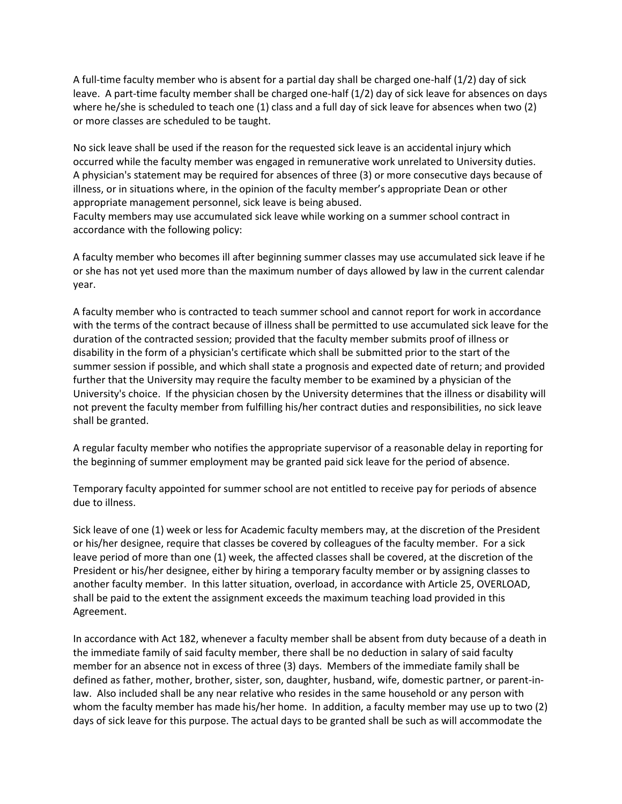A full-time faculty member who is absent for a partial day shall be charged one-half (1/2) day of sick leave. A part-time faculty member shall be charged one-half (1/2) day of sick leave for absences on days where he/she is scheduled to teach one (1) class and a full day of sick leave for absences when two (2) or more classes are scheduled to be taught.

No sick leave shall be used if the reason for the requested sick leave is an accidental injury which occurred while the faculty member was engaged in remunerative work unrelated to University duties. A physician's statement may be required for absences of three (3) or more consecutive days because of illness, or in situations where, in the opinion of the faculty member's appropriate Dean or other appropriate management personnel, sick leave is being abused.

Faculty members may use accumulated sick leave while working on a summer school contract in accordance with the following policy:

A faculty member who becomes ill after beginning summer classes may use accumulated sick leave if he or she has not yet used more than the maximum number of days allowed by law in the current calendar year.

A faculty member who is contracted to teach summer school and cannot report for work in accordance with the terms of the contract because of illness shall be permitted to use accumulated sick leave for the duration of the contracted session; provided that the faculty member submits proof of illness or disability in the form of a physician's certificate which shall be submitted prior to the start of the summer session if possible, and which shall state a prognosis and expected date of return; and provided further that the University may require the faculty member to be examined by a physician of the University's choice. If the physician chosen by the University determines that the illness or disability will not prevent the faculty member from fulfilling his/her contract duties and responsibilities, no sick leave shall be granted.

A regular faculty member who notifies the appropriate supervisor of a reasonable delay in reporting for the beginning of summer employment may be granted paid sick leave for the period of absence.

Temporary faculty appointed for summer school are not entitled to receive pay for periods of absence due to illness.

Sick leave of one (1) week or less for Academic faculty members may, at the discretion of the President or his/her designee, require that classes be covered by colleagues of the faculty member. For a sick leave period of more than one (1) week, the affected classes shall be covered, at the discretion of the President or his/her designee, either by hiring a temporary faculty member or by assigning classes to another faculty member. In this latter situation, overload, in accordance with Article 25, OVERLOAD, shall be paid to the extent the assignment exceeds the maximum teaching load provided in this Agreement.

In accordance with Act 182, whenever a faculty member shall be absent from duty because of a death in the immediate family of said faculty member, there shall be no deduction in salary of said faculty member for an absence not in excess of three (3) days. Members of the immediate family shall be defined as father, mother, brother, sister, son, daughter, husband, wife, domestic partner, or parent-inlaw. Also included shall be any near relative who resides in the same household or any person with whom the faculty member has made his/her home. In addition, a faculty member may use up to two (2) days of sick leave for this purpose. The actual days to be granted shall be such as will accommodate the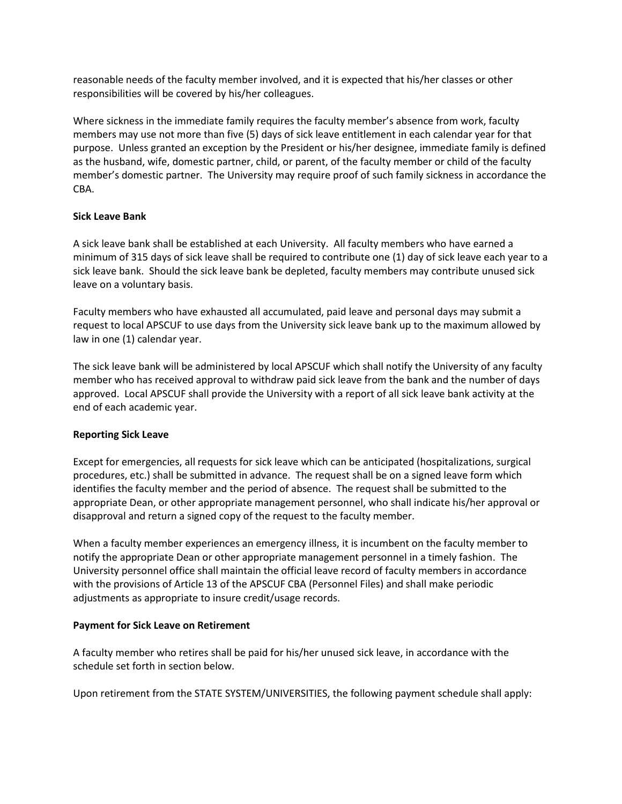reasonable needs of the faculty member involved, and it is expected that his/her classes or other responsibilities will be covered by his/her colleagues.

Where sickness in the immediate family requires the faculty member's absence from work, faculty members may use not more than five (5) days of sick leave entitlement in each calendar year for that purpose. Unless granted an exception by the President or his/her designee, immediate family is defined as the husband, wife, domestic partner, child, or parent, of the faculty member or child of the faculty member's domestic partner. The University may require proof of such family sickness in accordance the CBA.

#### **Sick Leave Bank**

A sick leave bank shall be established at each University. All faculty members who have earned a minimum of 315 days of sick leave shall be required to contribute one (1) day of sick leave each year to a sick leave bank. Should the sick leave bank be depleted, faculty members may contribute unused sick leave on a voluntary basis.

Faculty members who have exhausted all accumulated, paid leave and personal days may submit a request to local APSCUF to use days from the University sick leave bank up to the maximum allowed by law in one (1) calendar year.

The sick leave bank will be administered by local APSCUF which shall notify the University of any faculty member who has received approval to withdraw paid sick leave from the bank and the number of days approved. Local APSCUF shall provide the University with a report of all sick leave bank activity at the end of each academic year.

## **Reporting Sick Leave**

Except for emergencies, all requests for sick leave which can be anticipated (hospitalizations, surgical procedures, etc.) shall be submitted in advance. The request shall be on a signed leave form which identifies the faculty member and the period of absence. The request shall be submitted to the appropriate Dean, or other appropriate management personnel, who shall indicate his/her approval or disapproval and return a signed copy of the request to the faculty member.

When a faculty member experiences an emergency illness, it is incumbent on the faculty member to notify the appropriate Dean or other appropriate management personnel in a timely fashion. The University personnel office shall maintain the official leave record of faculty members in accordance with the provisions of Article 13 of the APSCUF CBA (Personnel Files) and shall make periodic adjustments as appropriate to insure credit/usage records.

#### **Payment for Sick Leave on Retirement**

A faculty member who retires shall be paid for his/her unused sick leave, in accordance with the schedule set forth in section below.

Upon retirement from the STATE SYSTEM/UNIVERSITIES, the following payment schedule shall apply: